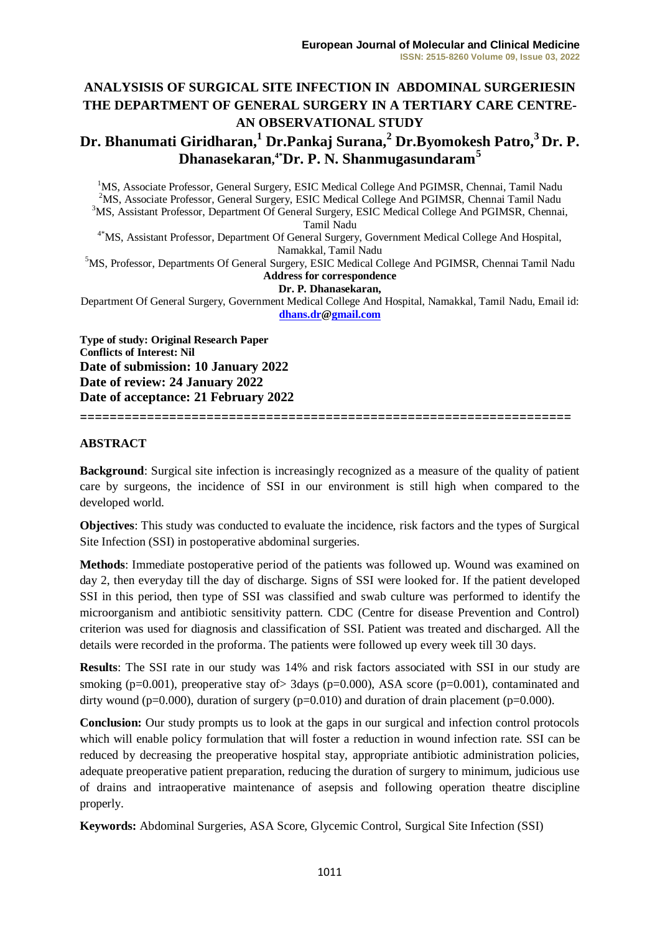### **ANALYSISIS OF SURGICAL SITE INFECTION IN ABDOMINAL SURGERIESIN THE DEPARTMENT OF GENERAL SURGERY IN A TERTIARY CARE CENTRE-AN OBSERVATIONAL STUDY Dr. Bhanumati Giridharan,<sup>1</sup> Dr.Pankaj Surana,<sup>2</sup> Dr.Byomokesh Patro,<sup>3</sup>[Dr. P.](http://dr.p.dhanasekaran/)  [Dhanasekaran](http://dr.p.dhanasekaran/), 4\*Dr. P. N. Shanmugasundaram<sup>5</sup>**

<sup>1</sup>MS, Associate Professor, General Surgery, ESIC Medical College And PGIMSR, Chennai, Tamil Nadu <sup>2</sup>MS, Associate Professor, General Surgery, ESIC Medical College And PGIMSR, Chennai Tamil Nadu <sup>3</sup>MS, Assistant Professor, Department Of General Surgery, ESIC Medical College And PGIMSR, Chennai, Tamil Nadu 4\*MS, Assistant Professor, Department Of General Surgery, Government Medical College And Hospital, Namakkal, Tamil Nadu <sup>5</sup>MS, Professor, Departments Of General Surgery, ESIC Medical College And PGIMSR, Chennai Tamil Nadu **Address for correspondence [Dr. P. Dhanasekaran,](http://dr.p.dhanasekaran/)** Department Of General Surgery, Government Medical College And Hospital, Namakkal, Tamil Nadu, Email id:

**[dhans.dr](http://dhans.dr/)[@gmail.com](http://gmail.com/)**

**Type of study: Original Research Paper Conflicts of Interest: Nil Date of submission: 10 January 2022 Date of review: 24 January 2022 Date of acceptance: 21 February 2022**

# **ABSTRACT**

**Background**: Surgical site infection is increasingly recognized as a measure of the quality of patient care by surgeons, the incidence of SSI in our environment is still high when compared to the developed world.

==================================================================

**Objectives**: This study was conducted to evaluate the incidence, risk factors and the types of Surgical Site Infection (SSI) in postoperative abdominal surgeries.

**Methods**: Immediate postoperative period of the patients was followed up. Wound was examined on day 2, then everyday till the day of discharge. Signs of SSI were looked for. If the patient developed SSI in this period, then type of SSI was classified and swab culture was performed to identify the microorganism and antibiotic sensitivity pattern. CDC (Centre for disease Prevention and Control) criterion was used for diagnosis and classification of SSI. Patient was treated and discharged. All the details were recorded in the proforma. The patients were followed up every week till 30 days.

**Results**: The SSI rate in our study was 14% and risk factors associated with SSI in our study are smoking (p=0.001), preoperative stay of > 3days (p=0.000), ASA score (p=0.001), contaminated and dirty wound ( $p=0.000$ ), duration of surgery ( $p=0.010$ ) and duration of drain placement ( $p=0.000$ ).

**Conclusion:** Our study prompts us to look at the gaps in our surgical and infection control protocols which will enable policy formulation that will foster a reduction in wound infection rate. SSI can be reduced by decreasing the preoperative hospital stay, appropriate antibiotic administration policies, adequate preoperative patient preparation, reducing the duration of surgery to minimum, judicious use of drains and intraoperative maintenance of asepsis and following operation theatre discipline properly.

**Keywords:** Abdominal Surgeries, ASA Score, Glycemic Control, Surgical Site Infection (SSI)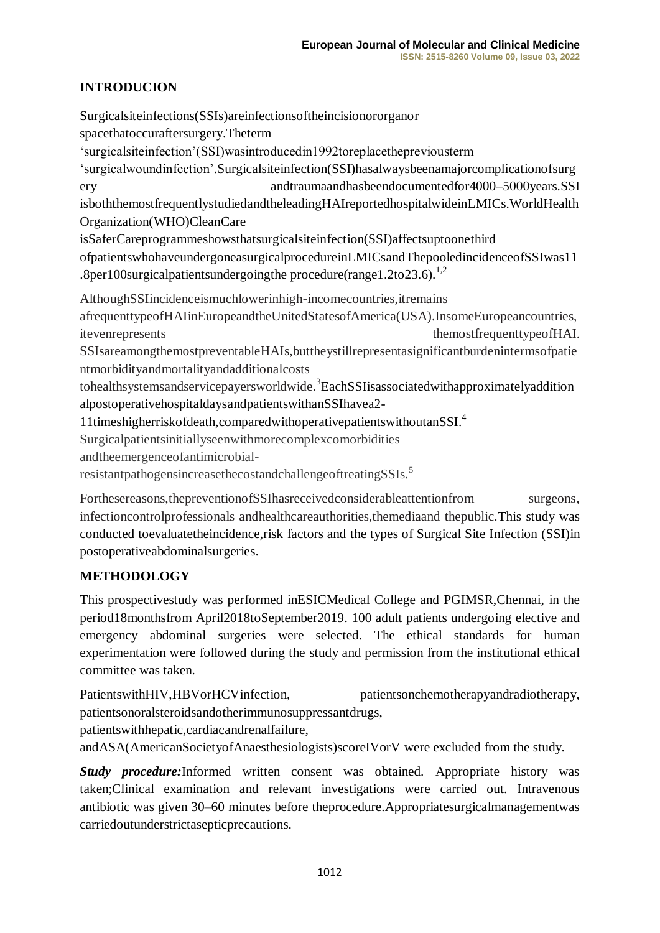#### **INTRODUCION**

Surgicalsiteinfections(SSIs)areinfectionsoftheincisionororganor spacethatoccuraftersurgery.Theterm 'surgicalsiteinfection'(SSI)wasintroducedin1992toreplacethepreviousterm 'surgicalwoundinfection'.Surgicalsiteinfection(SSI)hasalwaysbeenamajorcomplicationofsurg ery andtraumaandhasbeendocumentedfor4000–5000years.SSI isboththemostfrequentlystudiedandtheleadingHAIreportedhospitalwideinLMICs.WorldHealth Organization(WHO)CleanCare isSaferCareprogrammeshowsthatsurgicalsiteinfection(SSI)affectsuptoonethird ofpatientswhohaveundergoneasurgicalprocedureinLMICsandThepooledincidenceofSSIwas11 .8per100surgicalpatientsundergoing the procedure (range 1.2to 23.6).<sup>1,2</sup> AlthoughSSIincidenceismuchlowerinhigh-incomecountries,itremains afrequenttypeofHAIinEuropeandtheUnitedStatesofAmerica(USA).InsomeEuropeancountries, itevenrepresents themostfrequenttypeofHAI. SSIsareamongthemostpreventableHAIs,buttheystillrepresentasignificantburdenintermsofpatie ntmorbidityandmortalityandadditionalcosts tohealthsystemsandservicepayersworldwide.<sup>3</sup>EachSSIisassociatedwithapproximatelyaddition alpostoperativehospitaldaysandpatientswithanSSIhavea2- 11timeshigherriskofdeath,comparedwithoperativepatientswithoutanSSI. 4 Surgicalpatientsinitiallyseenwithmorecomplexcomorbidities andtheemergenceofantimicrobialresistantpathogensincreasethecostandchallengeoftreatingSSIs.<sup>5</sup>

Forthesereasons,thepreventionofSSIhasreceivedconsiderableattentionfrom surgeons, infectioncontrolprofessionals andhealthcareauthorities,themediaand thepublic.This study was conducted toevaluatetheincidence,risk factors and the types of Surgical Site Infection (SSI)in postoperativeabdominalsurgeries.

### **METHODOLOGY**

This prospectivestudy was performed inESICMedical College and PGIMSR,Chennai, in the period18monthsfrom April2018toSeptember2019. 100 adult patients undergoing elective and emergency abdominal surgeries were selected. The ethical standards for human experimentation were followed during the study and permission from the institutional ethical committee was taken.

PatientswithHIV,HBVorHCVinfection, patientsonchemotherapyandradiotherapy, patientsonoralsteroidsandotherimmunosuppressantdrugs,

patientswithhepatic,cardiacandrenalfailure,

andASA(AmericanSocietyofAnaesthesiologists)scoreIVorV were excluded from the study.

*Study procedure:*Informed written consent was obtained. Appropriate history was taken;Clinical examination and relevant investigations were carried out. Intravenous antibiotic was given 30–60 minutes before theprocedure.Appropriatesurgicalmanagementwas carriedoutunderstrictasepticprecautions.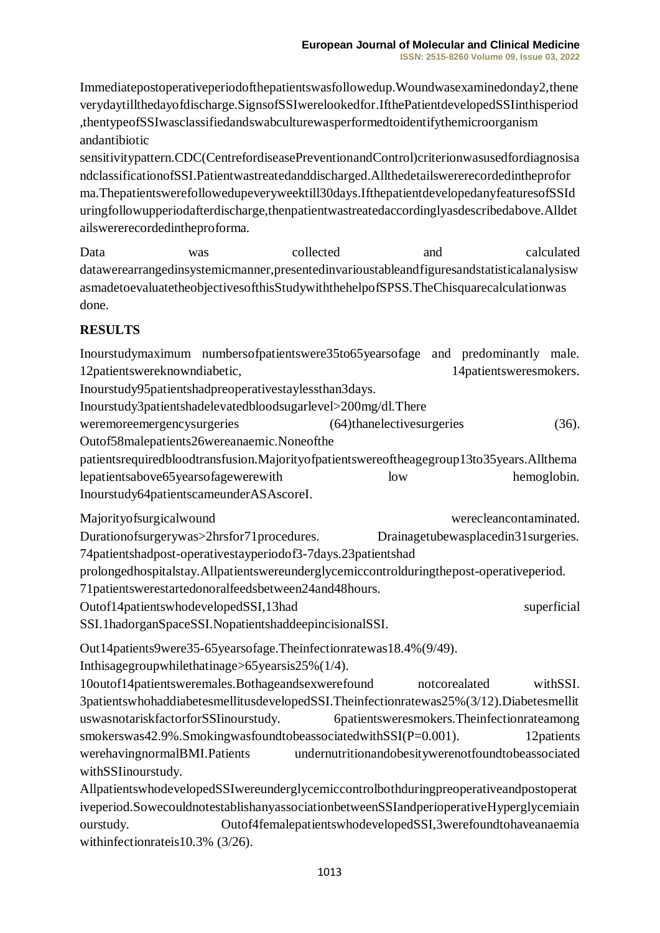Immediatepostoperativeperiodofthepatientswasfollowedup.Woundwasexaminedonday2,thene verydaytillthedayofdischarge.SignsofSSIwerelookedfor.IfthePatientdevelopedSSIinthisperiod ,thentypeofSSIwasclassifiedandswabculturewasperformedtoidentifythemicroorganism andantibiotic

sensitivitypattern.CDC(CentrefordiseasePreventionandControl)criterionwasusedfordiagnosisa ndclassificationofSSI.Patientwastreatedanddischarged.Allthedetailswererecordedintheprofor ma.Thepatientswerefollowedupeveryweektill30days.IfthepatientdevelopedanyfeaturesofSSId uringfollowupperiodafterdischarge,thenpatientwastreatedaccordinglyasdescribedabove.Alldet ailswererecordedintheproforma.

Data was collected and calculated datawerearrangedinsystemicmanner,presentedinvarioustableandfiguresandstatisticalanalysisw asmadetoevaluatetheobjectivesofthisStudywiththehelpofSPSS.TheChisquarecalculationwas done.

### **RESULTS**

Inourstudymaximum numbersofpatientswere35to65yearsofage and predominantly male. 12patientswereknowndiabetic, 14patientsweresmokers. Inourstudy95patientshadpreoperativestaylessthan3days. Inourstudy3patientshadelevatedbloodsugarlevel>200mg/dl.There weremoreemergencysurgeries (64)thanelectivesurgeries (36). Outof58malepatients26wereanaemic.Noneofthe patientsrequiredbloodtransfusion.Majorityofpatientswereoftheagegroup13to35years.Allthema lepatientsabove65yearsofagewerewith low hemoglobin. Inourstudy64patientscameunderASAscoreI.

Majorityofsurgicalwound werecleancontaminated. Durationofsurgerywas>2hrsfor71procedures. Drainagetubewasplacedin31surgeries. 74patientshadpost-operativestayperiodof3-7days.23patientshad prolongedhospitalstay.Allpatientswereunderglycemiccontrolduringthepost-operativeperiod. 71patientswerestartedonoralfeedsbetween24and48hours. Outof14patientswhodevelopedSSI,13had superficial superficial SSI.1hadorganSpaceSSI.NopatientshaddeepincisionalSSI.

Out14patients9were35-65yearsofage.Theinfectionratewas18.4%(9/49).

Inthisagegroupwhilethatinage>65yearsis25%(1/4).

10outof14patientsweremales.Bothageandsexwerefound notcorealated withSSI. 3patientswhohaddiabetesmellitusdevelopedSSI.Theinfectionratewas25%(3/12).Diabetesmellit uswasnotariskfactorforSSIinourstudy. 6patientsweresmokers.Theinfectionrateamong smokerswas42.9%.SmokingwasfoundtobeassociatedwithSSI(P=0.001). 12patients werehavingnormalBMI.Patients undernutritionandobesitywerenotfoundtobeassociated withSSIinourstudy.

AllpatientswhodevelopedSSIwereunderglycemiccontrolbothduringpreoperativeandpostoperat iveperiod.SowecouldnotestablishanyassociationbetweenSSIandperioperativeHyperglycemiain ourstudy. Outof4femalepatientswhodevelopedSSI,3werefoundtohaveanaemia withinfectionrateis10.3% (3/26).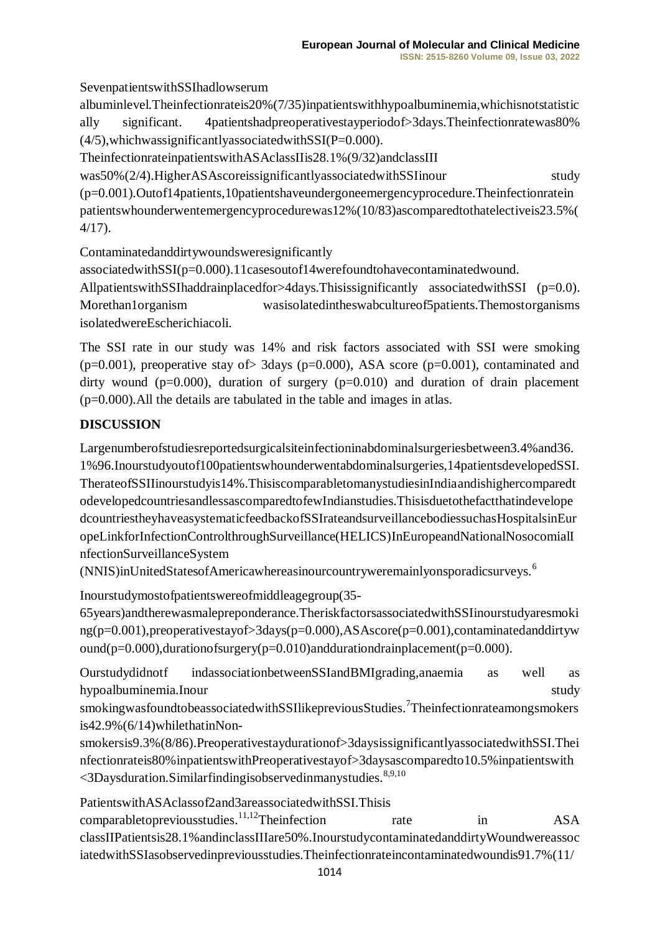SevenpatientswithSSIhadlowserum

albuminlevel.Theinfectionrateis20%(7/35)inpatientswithhypoalbuminemia,whichisnotstatistic ally significant. 4patientshadpreoperativestayperiodof>3days.Theinfectionratewas80%  $(4/5)$ , which was significantly associated with  $SSI(P=0.000)$ .

TheinfectionrateinpatientswithASAclassIIis28.1%(9/32)andclassIII

was50%(2/4).HigherASAscoreissignificantlyassociatedwithSSIinour study

(p=0.001).Outof14patients,10patientshaveundergoneemergencyprocedure.Theinfectionratein patientswhounderwentemergencyprocedurewas12%(10/83)ascomparedtothatelectiveis23.5%( 4/17).

Contaminatedanddirtywoundsweresignificantly

associatedwithSSI(p=0.000).11casesoutof14werefoundtohavecontaminatedwound.

AllpatientswithSSIhaddrainplacedfor > 4days. This is spinificantly associated with SSI ( $p=0.0$ ). Morethan1organism wasisolatedintheswabcultureof5patients.Themostorganisms isolatedwereEscherichiacoli.

The SSI rate in our study was 14% and risk factors associated with SSI were smoking ( $p=0.001$ ), preoperative stay of 3days ( $p=0.000$ ), ASA score ( $p=0.001$ ), contaminated and dirty wound ( $p=0.000$ ), duration of surgery ( $p=0.010$ ) and duration of drain placement (p=0.000).All the details are tabulated in the table and images in atlas.

## **DISCUSSION**

Largenumberofstudiesreportedsurgicalsiteinfectioninabdominalsurgeriesbetween3.4%and36. 1%96.Inourstudyoutof100patientswhounderwentabdominalsurgeries,14patientsdevelopedSSI. TherateofSSIIinourstudyis14%.ThisiscomparabletomanystudiesinIndiaandishighercomparedt odevelopedcountriesandlessascomparedtofewIndianstudies.Thisisduetothefactthatindevelope dcountriestheyhaveasystematicfeedbackofSSIrateandsurveillancebodiessuchasHospitalsinEur opeLinkforInfectionControlthroughSurveillance(HELICS)InEuropeandNationalNosocomialI nfectionSurveillanceSystem

(NNIS)inUnitedStatesofAmericawhereasinourcountryweremainlyonsporadicsurveys.<sup>6</sup>

Inourstudymostofpatientswereofmiddleagegroup(35-

65years)andtherewasmalepreponderance.TheriskfactorsassociatedwithSSIinourstudyaresmoki ng(p=0.001),preoperativestayof>3days(p=0.000),ASAscore(p=0.001),contaminatedanddirtyw ound( $p=0.000$ ),durationofsurgery( $p=0.010$ )anddurationdrainplacement( $p=0.000$ ).

Ourstudydidnotf indassociationbetweenSSIandBMIgrading,anaemia as well as hypoalbuminemia.Inour study study and the study study study study study study study study study study study study

smokingwasfoundtobeassociatedwithSSIlikepreviousStudies.<sup>7</sup>Theinfectionrateamongsmokers is42.9%(6/14)whilethatinNon-

smokersis9.3%(8/86).Preoperativestaydurationof>3daysissignificantlyassociatedwithSSI.Thei nfectionrateis80%inpatientswithPreoperativestayof>3daysascomparedto10.5%inpatientswith  $<$  3Daysduration.Similarfindingisobservedinmanystudies.  $^{8,9,10}$ 

PatientswithASAclassof2and3areassociatedwithSSI.Thisis comparabletoprevious studies.<sup>11,12</sup>The in fection rate in ASA classIIPatientsis28.1%andinclassIIIare50%.InourstudycontaminatedanddirtyWoundwereassoc iatedwithSSIasobservedinpreviousstudies.Theinfectionrateincontaminatedwoundis91.7%(11/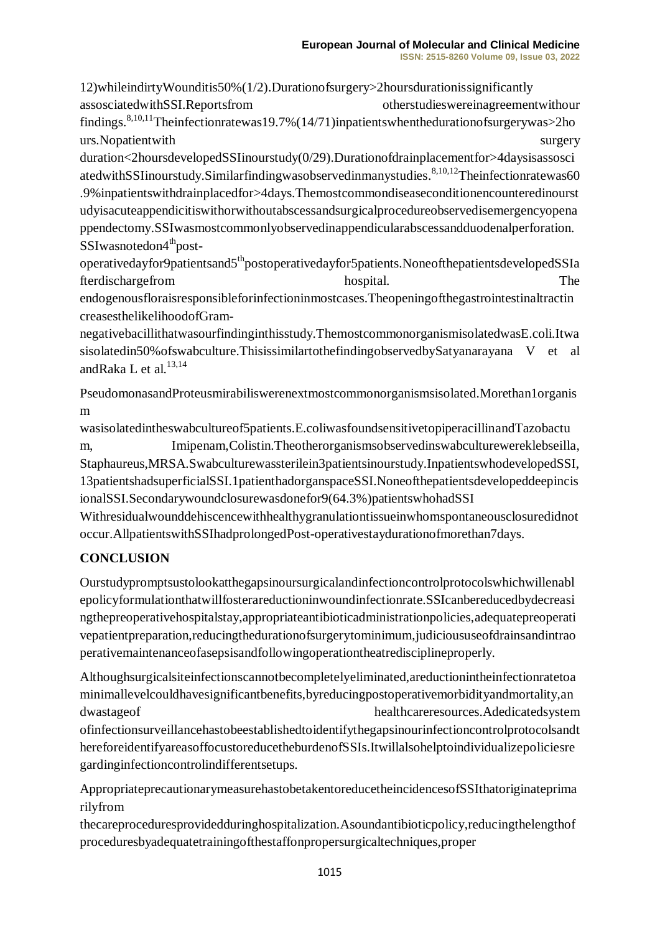12)whileindirtyWounditis50%(1/2).Durationofsurgery>2hoursdurationissignificantly assosciatedwithSSI.Reportsfrom otherstudieswereinagreementwithour findings.<sup>8,10,11</sup>Theinfectionratewas19.7%(14/71)inpatientswhenthedurationofsurgerywas>2ho urs. No patient with surgery

duration<2hoursdevelopedSSIinourstudy(0/29).Durationofdrainplacementfor>4daysisassosci atedwithSSIinourstudy.Similarfindingwasobservedinmanystudies.<sup>8,10,12</sup>Theinfectionratewas60 .9%inpatientswithdrainplacedfor>4days.Themostcommondiseaseconditionencounteredinourst udyisacuteappendicitiswithorwithoutabscessandsurgicalprocedureobservedisemergencyopena ppendectomy.SSIwasmostcommonlyobservedinappendicularabscessandduodenalperforation. SSIwasnotedon4<sup>th</sup>post-

operativedayfor9patientsand5<sup>th</sup>postoperativedayfor5patients.NoneofthepatientsdevelopedSSIa fterdischargefrom hospital. The hospital.

endogenousfloraisresponsibleforinfectioninmostcases.Theopeningofthegastrointestinaltractin creasesthelikelihoodofGram-

negativebacillithatwasourfindinginthisstudy.ThemostcommonorganismisolatedwasE.coli.Itwa sisolatedin50%ofswabculture.ThisissimilartothefindingobservedbySatyanarayana V et al andRaka L et al.<sup>13,14</sup>

PseudomonasandProteusmirabiliswerenextmostcommonorganismsisolated.Morethan1organis m

wasisolatedintheswabcultureof5patients.E.coliwasfoundsensitivetopiperacillinandTazobactu m, Imipenam,Colistin.Theotherorganismsobservedinswabculturewereklebseilla, Staphaureus,MRSA.Swabculturewassterilein3patientsinourstudy.InpatientswhodevelopedSSI, 13patientshadsuperficialSSI.1patienthadorganspaceSSI.Noneofthepatientsdevelopeddeepincis ionalSSI.Secondarywoundclosurewasdonefor9(64.3%)patientswhohadSSI

Withresidualwounddehiscencewithhealthygranulationtissueinwhomspontaneousclosuredidnot occur.AllpatientswithSSIhadprolongedPost-operativestaydurationofmorethan7days.

# **CONCLUSION**

Ourstudypromptsustolookatthegapsinoursurgicalandinfectioncontrolprotocolswhichwillenabl epolicyformulationthatwillfosterareductioninwoundinfectionrate.SSIcanbereducedbydecreasi ngthepreoperativehospitalstay,appropriateantibioticadministrationpolicies,adequatepreoperati vepatientpreparation,reducingthedurationofsurgerytominimum,judicioususeofdrainsandintrao perativemaintenanceofasepsisandfollowingoperationtheatredisciplineproperly.

Althoughsurgicalsiteinfectionscannotbecompletelyeliminated,areductionintheinfectionratetoa minimallevelcouldhavesignificantbenefits,byreducingpostoperativemorbidityandmortality,an dwastageof healthcareresources.Adedicatedsystem ofinfectionsurveillancehastobeestablishedtoidentifythegapsinourinfectioncontrolprotocolsandt hereforeidentifyareasoffocustoreducetheburdenofSSIs.Itwillalsohelptoindividualizepoliciesre gardinginfectioncontrolindifferentsetups.

AppropriateprecautionarymeasurehastobetakentoreducetheincidencesofSSIthatoriginateprima rilyfrom

thecareproceduresprovidedduringhospitalization.Asoundantibioticpolicy,reducingthelengthof proceduresbyadequatetrainingofthestaffonpropersurgicaltechniques,proper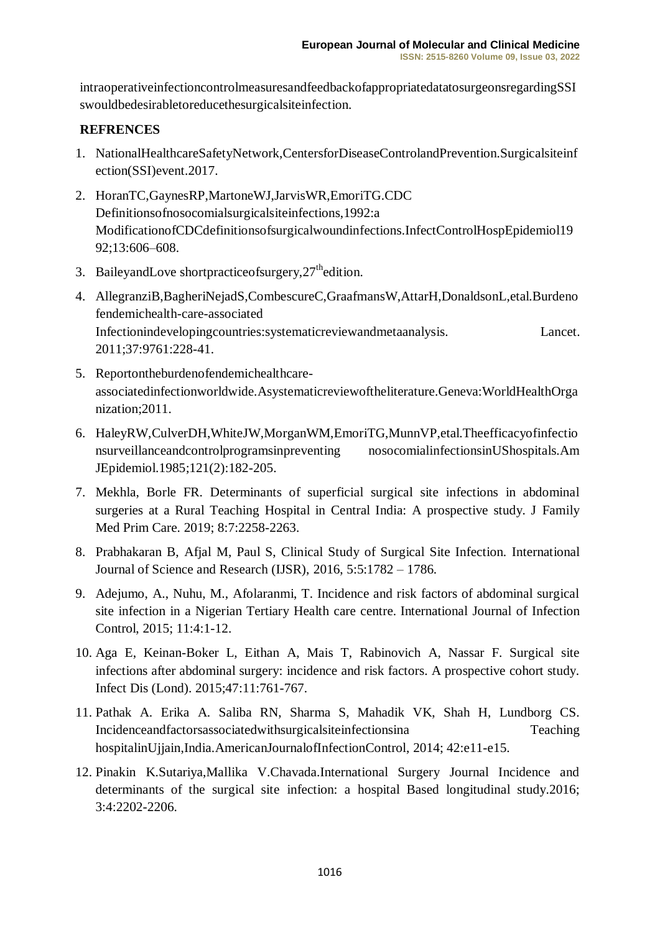intraoperativeinfectioncontrolmeasuresandfeedbackofappropriatedatatosurgeonsregardingSSI swouldbedesirabletoreducethesurgicalsiteinfection.

#### **REFRENCES**

- 1. NationalHealthcareSafetyNetwork,CentersforDiseaseControlandPrevention.Surgicalsiteinf ection(SSI)event.2017.
- 2. HoranTC,GaynesRP,MartoneWJ,JarvisWR,EmoriTG.CDC Definitionsofnosocomialsurgicalsiteinfections,1992:a ModificationofCDCdefinitionsofsurgicalwoundinfections.InfectControlHospEpidemiol19 92;13:606–608.
- 3. BaileyandLove shortpractice of surgery,  $27<sup>th</sup>$ edition.
- 4. AllegranziB,BagheriNejadS,CombescureC,GraafmansW,AttarH,DonaldsonL,etal.Burdeno fendemichealth-care-associated Infectionindevelopingcountries:systematicreviewandmetaanalysis. Lancet. 2011;37:9761:228-41.
- 5. Reportontheburdenofendemichealthcareassociatedinfectionworldwide.Asystematicreviewoftheliterature.Geneva:WorldHealthOrga nization;2011.
- 6. HaleyRW,CulverDH,WhiteJW,MorganWM,EmoriTG,MunnVP,etal.Theefficacyofinfectio nsurveillanceandcontrolprogramsinpreventing nosocomialinfectionsinUShospitals.Am JEpidemiol.1985;121(2):182-205.
- 7. Mekhla, Borle FR. Determinants of superficial surgical site infections in abdominal surgeries at a Rural Teaching Hospital in Central India: A prospective study. J Family Med Prim Care. 2019; 8:7:2258-2263.
- 8. Prabhakaran B, Afjal M, Paul S, Clinical Study of Surgical Site Infection. International Journal of Science and Research (IJSR), 2016, 5:5:1782 – 1786.
- 9. Adejumo, A., Nuhu, M., Afolaranmi, T. Incidence and risk factors of abdominal surgical site infection in a Nigerian Tertiary Health care centre. International Journal of Infection Control, 2015; 11:4:1-12.
- 10. Aga E, Keinan-Boker L, Eithan A, Mais T, Rabinovich A, Nassar F. Surgical site infections after abdominal surgery: incidence and risk factors. A prospective cohort study. Infect Dis (Lond). 2015;47:11:761-767.
- 11. Pathak A. Erika A. Saliba RN, Sharma S, Mahadik VK, Shah H, Lundborg CS. Incidenceandfactorsassociatedwithsurgicalsiteinfectionsina Teaching hospitalinUjjain,India.AmericanJournalofInfectionControl, 2014; 42:e11-e15.
- 12. Pinakin K.Sutariya,Mallika V.Chavada.International Surgery Journal Incidence and determinants of the surgical site infection: a hospital Based longitudinal study.2016; 3:4:2202-2206.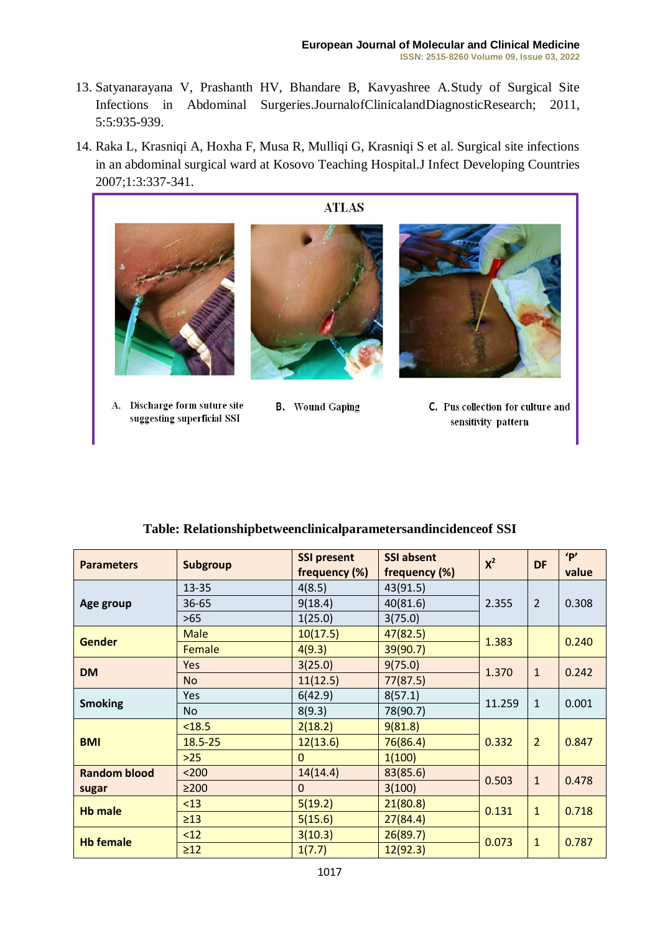- 13. Satyanarayana V, Prashanth HV, Bhandare B, Kavyashree A.Study of Surgical Site Infections in Abdominal Surgeries.JournalofClinicalandDiagnosticResearch; 2011, 5:5:935-939.
- 14. Raka L, Krasniqi A, Hoxha F, Musa R, Mulliqi G, Krasniqi S et al. Surgical site infections in an abdominal surgical ward at Kosovo Teaching Hospital.J Infect Developing Countries 2007;1:3:337-341.



- A. Discharge form suture site suggesting superficial SSI
- **B.** Wound Gaping
- C. Pus collection for culture and sensitivity pattern

| <b>Parameters</b>   | Subgroup    | <b>SSI present</b><br>frequency (%) | <b>SSI absent</b><br>frequency (%) | $X^2$  | <b>DF</b>      | 'P'<br>value |
|---------------------|-------------|-------------------------------------|------------------------------------|--------|----------------|--------------|
| Age group           | 13-35       | 4(8.5)                              | 43(91.5)                           | 2.355  | $\overline{2}$ | 0.308        |
|                     | 36-65       | 9(18.4)                             | 40(81.6)                           |        |                |              |
|                     | >65         | 1(25.0)                             | 3(75.0)                            |        |                |              |
| <b>Gender</b>       | <b>Male</b> | 10(17.5)                            | 47(82.5)                           | 1.383  |                | 0.240        |
|                     | Female      | 4(9.3)                              | 39(90.7)                           |        |                |              |
| <b>DM</b>           | Yes         | 3(25.0)                             | 9(75.0)                            | 1.370  | $\mathbf{1}$   | 0.242        |
|                     | <b>No</b>   | 11(12.5)                            | 77(87.5)                           |        |                |              |
| <b>Smoking</b>      | Yes         | 6(42.9)                             | 8(57.1)                            | 11.259 | $\mathbf{1}$   | 0.001        |
|                     | No          | 8(9.3)                              | 78(90.7)                           |        |                |              |
| <b>BMI</b>          | < 18.5      | 2(18.2)                             | 9(81.8)                            | 0.332  | $\overline{2}$ | 0.847        |
|                     | 18.5-25     | 12(13.6)                            | 76(86.4)                           |        |                |              |
|                     | $>25$       | $\mathbf{0}$                        | 1(100)                             |        |                |              |
| <b>Random blood</b> | $200$       | 14(14.4)                            | 83(85.6)                           | 0.503  | $\mathbf{1}$   | 0.478        |
| sugar               | $\geq$ 200  | $\mathbf{0}$                        | 3(100)                             |        |                |              |
| <b>Hb male</b>      | < 13        | 5(19.2)                             | 21(80.8)                           | 0.131  | $\mathbf{1}$   | 0.718        |
|                     | $\geq$ 13   | 5(15.6)                             | 27(84.4)                           |        |                |              |
| <b>Hb female</b>    | < 12        | 3(10.3)                             | 26(89.7)                           | 0.073  | $\mathbf{1}$   | 0.787        |
|                     | $\geq$ 12   | 1(7.7)                              | 12(92.3)                           |        |                |              |

**Table: Relationshipbetweenclinicalparametersandincidenceof SSI**